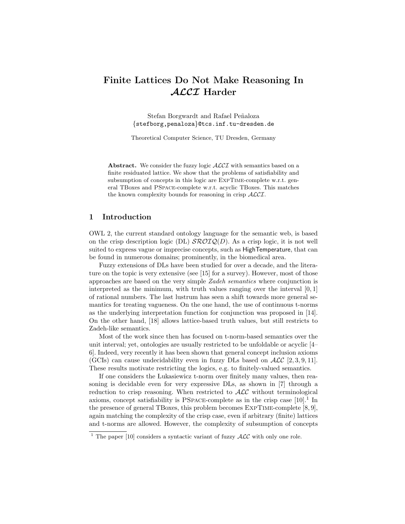# Finite Lattices Do Not Make Reasoning In ALCI Harder

Stefan Borgwardt and Rafael Peñaloza {stefborg,penaloza}@tcs.inf.tu-dresden.de

Theoretical Computer Science, TU Dresden, Germany

Abstract. We consider the fuzzy logic  $\mathcal{ALCI}$  with semantics based on a finite residuated lattice. We show that the problems of satisfiability and subsumption of concepts in this logic are EXPTIME-complete w.r.t. general TBoxes and PSpace-complete w.r.t. acyclic TBoxes. This matches the known complexity bounds for reasoning in crisp ALCI.

# 1 Introduction

OWL 2, the current standard ontology language for the semantic web, is based on the crisp description logic (DL)  $\mathcal{SROIQ}(D)$ . As a crisp logic, it is not well suited to express vague or imprecise concepts, such as HighTemperature, that can be found in numerous domains; prominently, in the biomedical area.

Fuzzy extensions of DLs have been studied for over a decade, and the literature on the topic is very extensive (see [15] for a survey). However, most of those approaches are based on the very simple Zadeh semantics where conjunction is interpreted as the minimum, with truth values ranging over the interval  $[0, 1]$ of rational numbers. The last lustrum has seen a shift towards more general semantics for treating vagueness. On the one hand, the use of continuous t-norms as the underlying interpretation function for conjunction was proposed in [14]. On the other hand, [18] allows lattice-based truth values, but still restricts to Zadeh-like semantics.

Most of the work since then has focused on t-norm-based semantics over the unit interval; yet, ontologies are usually restricted to be unfoldable or acyclic [4– 6]. Indeed, very recently it has been shown that general concept inclusion axioms (GCIs) can cause undecidability even in fuzzy DLs based on  $\mathcal{ALC}$  [2, 3, 9, 11]. These results motivate restricting the logics, e.g. to finitely-valued semantics.

If one considers the Lukasiewicz t-norm over finitely many values, then reasoning is decidable even for very expressive DLs, as shown in [7] through a reduction to crisp reasoning. When restricted to  $ALC$  without terminological axioms, concept satisfiability is PSPACE-complete as in the crisp case  $[10]$ <sup>1</sup>. In the presence of general TBoxes, this problem becomes  $EXPTIME-complete [8, 9],$ again matching the complexity of the crisp case, even if arbitrary (finite) lattices and t-norms are allowed. However, the complexity of subsumption of concepts

<sup>&</sup>lt;sup>1</sup> The paper [10] considers a syntactic variant of fuzzy  $\mathcal{ALC}$  with only one role.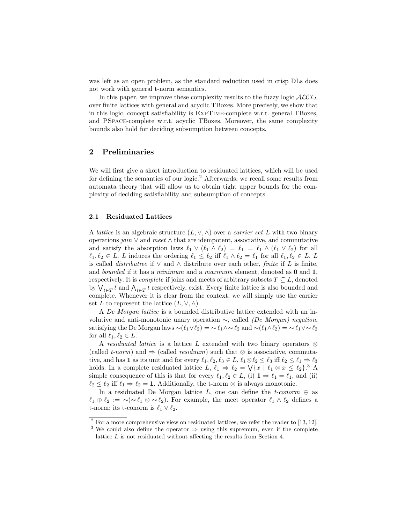was left as an open problem, as the standard reduction used in crisp DLs does not work with general t-norm semantics.

In this paper, we improve these complexity results to the fuzzy logic  $\mathcal{ALCI}_L$ over finite lattices with general and acyclic TBoxes. More precisely, we show that in this logic, concept satisfiability is ExpTime-complete w.r.t. general TBoxes, and PSpace-complete w.r.t. acyclic TBoxes. Moreover, the same complexity bounds also hold for deciding subsumption between concepts.

# 2 Preliminaries

We will first give a short introduction to residuated lattices, which will be used for defining the semantics of our logic.<sup>2</sup> Afterwards, we recall some results from automata theory that will allow us to obtain tight upper bounds for the complexity of deciding satisfiability and subsumption of concepts.

#### 2.1 Residuated Lattices

A *lattice* is an algebraic structure  $(L, \vee, \wedge)$  over a *carrier set* L with two binary operations join ∨ and meet ∧ that are idempotent, associative, and commutative and satisfy the absorption laws  $\ell_1 \vee (\ell_1 \wedge \ell_2) = \ell_1 = \ell_1 \wedge (\ell_1 \vee \ell_2)$  for all  $\ell_1, \ell_2 \in L$ . L induces the ordering  $\ell_1 \leq \ell_2$  iff  $\ell_1 \wedge \ell_2 = \ell_1$  for all  $\ell_1, \ell_2 \in L$ . L is called *distributive* if  $\vee$  and  $\wedge$  distribute over each other, *finite* if L is finite, and bounded if it has a minimum and a maximum element, denoted as  $0$  and  $1$ , respectively. It is *complete* if joins and meets of arbitrary subsets  $T \subseteq L$ , denoted by  $\bigvee_{t\in T} t$  and  $\bigwedge_{t\in T} t$  respectively, exist. Every finite lattice is also bounded and complete. Whenever it is clear from the context, we will simply use the carrier set L to represent the lattice  $(L, \vee, \wedge)$ .

A De Morgan lattice is a bounded distributive lattice extended with an involutive and anti-monotonic unary operation  $\sim$ , called (De Morgan) negation, satisfying the De Morgan laws  $\sim$ ( $\ell_1 \vee \ell_2$ ) = ∼  $\ell_1 \wedge \sim \ell_2$  and  $\sim$ ( $\ell_1 \wedge \ell_2$ ) = ∼  $\ell_1 \vee \sim \ell_2$ for all  $\ell_1, \ell_2 \in L$ .

A residuated lattice is a lattice L extended with two binary operators  $\otimes$ (called t-norm) and  $\Rightarrow$  (called residuum) such that  $\otimes$  is associative, commutative, and has 1 as its unit and for every  $\ell_1, \ell_2, \ell_3 \in L$ ,  $\ell_1 \otimes \ell_2 \leq \ell_3$  iff  $\ell_2 \leq \ell_1 \Rightarrow \ell_3$ holds. In a complete residuated lattice  $L, \ell_1 \Rightarrow \ell_2 = \bigvee \{x \mid \ell_1 \otimes x \leq \ell_2\}.$ <sup>3</sup> A simple consequence of this is that for every  $\ell_1, \ell_2 \in L$ , (i)  $1 \Rightarrow \ell_1 = \ell_1$ , and (ii)  $\ell_2 \leq \ell_2$  iff  $\ell_1 \Rightarrow \ell_2 = 1$ . Additionally, the t-norm ⊗ is always monotonic.

In a residuated De Morgan lattice L, one can define the t-conorm  $\oplus$  as  $\ell_1 \oplus \ell_2 := \sim (\sim \ell_1 \otimes \sim \ell_2).$  For example, the meet operator  $\ell_1 \wedge \ell_2$  defines a t-norm; its t-conorm is  $\ell_1 \vee \ell_2$ .

 $2$  For a more comprehensive view on residuated lattices, we refer the reader to [13, 12].

<sup>&</sup>lt;sup>3</sup> We could also define the operator  $\Rightarrow$  using this supremum, even if the complete lattice L is not residuated without affecting the results from Section 4.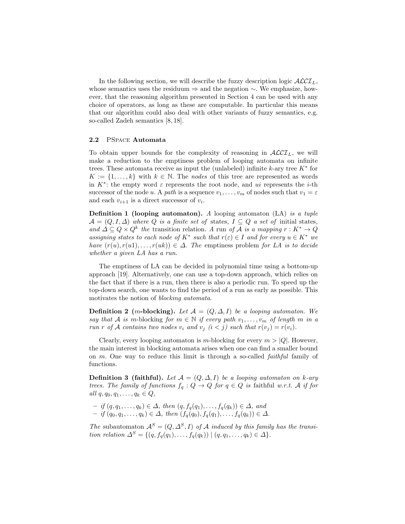In the following section, we will describe the fuzzy description logic  $\mathcal{ALCI}_L$ , whose semantics uses the residuum ⇒ and the negation ∼. We emphasize, however, that the reasoning algorithm presented in Section 4 can be used with any choice of operators, as long as these are computable. In particular this means that our algorithm could also deal with other variants of fuzzy semantics, e.g. so-called Zadeh semantics [8, 18].

#### 2.2 PSpace Automata

To obtain upper bounds for the complexity of reasoning in  $\mathcal{ALCI}_L$ , we will make a reduction to the emptiness problem of looping automata on infinite trees. These automata receive as input the (unlabeled) infinite  $k$ -ary tree  $K^*$  for  $K := \{1, \ldots, k\}$  with  $k \in \mathbb{N}$ . The nodes of this tree are represented as words in  $K^*$ : the empty word  $\varepsilon$  represents the root node, and ui represents the *i*-th successor of the node u. A path is a sequence  $v_1, \ldots, v_m$  of nodes such that  $v_1 = \varepsilon$ and each  $v_{i+1}$  is a direct successor of  $v_i$ .

**Definition 1 (looping automaton).** A looping automaton  $(LA)$  is a tuple  $\mathcal{A} = (Q, I, \Delta)$  where Q is a finite set of states,  $I \subseteq Q$  a set of initial states, and  $\Delta \subseteq Q \times Q^k$  the transition relation. A run of A is a mapping  $r : K^* \to Q$ assigning states to each node of  $K^*$  such that  $r(\varepsilon) \in I$  and for every  $u \in K^*$  we have  $(r(u), r(u1), \ldots, r(uk)) \in \Delta$ . The emptiness problem for LA is to decide whether a given LA has a run.

The emptiness of LA can be decided in polynomial time using a bottom-up approach [19]. Alternatively, one can use a top-down approach, which relies on the fact that if there is a run, then there is also a periodic run. To speed up the top-down search, one wants to find the period of a run as early as possible. This motivates the notion of *blocking automata*.

**Definition 2** (m-blocking). Let  $A = (Q, \Delta, I)$  be a looping automaton. We say that A is m-blocking for  $m \in \mathbb{N}$  if every path  $v_1, \ldots, v_m$  of length m in a run r of A contains two nodes  $v_i$  and  $v_j$   $(i < j)$  such that  $r(v_j) = r(v_i)$ .

Clearly, every looping automaton is m-blocking for every  $m > |Q|$ . However, the main interest in blocking automata arises when one can find a smaller bound on m. One way to reduce this limit is through a so-called faithful family of functions.

**Definition 3 (faithful).** Let  $\mathcal{A} = (Q, \Delta, I)$  be a looping automaton on k-ary trees. The family of functions  $f_q: Q \to Q$  for  $q \in Q$  is faithful w.r.t. A if for all  $q, q_0, q_1, \ldots, q_k \in Q$ ,

 $-$  if  $(q, q_1, \ldots, q_k) \in \Delta$ , then  $(q, f_q(q_1), \ldots, f_q(q_k)) \in \Delta$ , and  $-$  if  $(q_0, q_1, \ldots, q_k) \in \Delta$ , then  $(f_q(q_0), f_q(q_1), \ldots, f_q(q_k)) \in \Delta$ .

The subautomaton  $\mathcal{A}^S = (Q, \Delta^S, I)$  of A induced by this family has the transition relation  $\Delta^{S} = \{ (q, f_q(q_1), \ldots, f_q(q_k)) \mid (q, q_1, \ldots, q_k) \in \Delta \}.$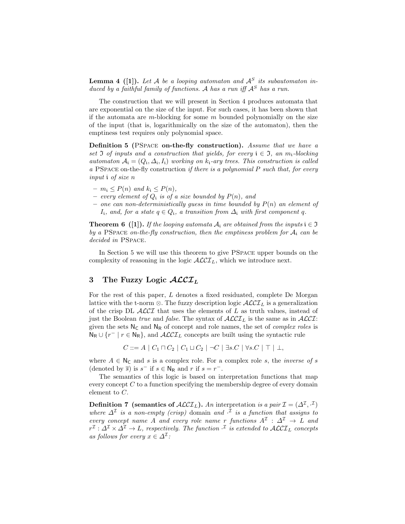**Lemma 4** ([1]). Let A be a looping automaton and  $A^S$  its subautomaton induced by a faithful family of functions. A has a run iff  $A<sup>S</sup>$  has a run.

The construction that we will present in Section 4 produces automata that are exponential on the size of the input. For such cases, it has been shown that if the automata are m-blocking for some  $m$  bounded polynomially on the size of the input (that is, logarithmically on the size of the automaton), then the emptiness test requires only polynomial space.

Definition 5 (PSPACE on-the-fly construction). Assume that we have a set  $\Im$  of inputs and a construction that yields, for every  $i \in \Im$ , an  $m_i$ -blocking automaton  $A_i = (Q_i, \Delta_i, I_i)$  working on  $k_i$ -ary trees. This construction is called a PSPACE on-the-fly construction if there is a polynomial  $P$  such that, for every input i of size n

- $m_i \leq P(n)$  and  $k_i \leq P(n)$ ,
- every element of  $Q_i$  is of a size bounded by  $P(n)$ , and
- one can non-deterministically guess in time bounded by  $P(n)$  an element of I<sub>i</sub>, and, for a state  $q \in Q_i$ , a transition from  $\Delta_i$  with first component q.

**Theorem 6** ([1]). If the looping automata  $A_i$  are obtained from the inputs  $i \in \mathfrak{I}$ by a PSPACE on-the-fly construction, then the emptiness problem for  $A_i$  can be decided in PSPACE.

In Section 5 we will use this theorem to give PSpace upper bounds on the complexity of reasoning in the logic  $\text{ALCI}_L$ , which we introduce next.

# 3 The Fuzzy Logic  $\mathcal{ALCI}_L$

For the rest of this paper, L denotes a fixed residuated, complete De Morgan lattice with the t-norm  $\otimes$ . The fuzzy description logic  $\mathcal{ALCI}_L$  is a generalization of the crisp DL  $\mathcal{ALCI}$  that uses the elements of L as truth values, instead of just the Boolean true and false. The syntax of  $\mathcal{ALCI}_L$  is the same as in  $\mathcal{ALCI}$ : given the sets  $N_c$  and  $N_R$  of concept and role names, the set of *complex roles* is  $N_R \cup \{r^- | r \in N_R\}$ , and  $\mathcal{ALCI}_L$  concepts are built using the syntactic rule

$$
C ::= A \mid C_1 \sqcap C_2 \mid C_1 \sqcup C_2 \mid \neg C \mid \exists s.C \mid \forall s.C \mid \top \mid \bot,
$$

where  $A \in N_C$  and s is a complex role. For a complex role s, the *inverse of s* (denoted by  $\overline{s}$ ) is  $s^-$  if  $s \in \mathsf{N}_\mathsf{R}$  and  $r$  if  $s = r^-$ .

The semantics of this logic is based on interpretation functions that map every concept  $C$  to a function specifying the membership degree of every domain element to C.

**Definition 7** (semantics of  $\text{ALCI}_L$ ). An interpretation is a pair  $\mathcal{I} = (\Delta^{\mathcal{I}}, \mathcal{I})$ where  $\Delta^{\mathcal{I}}$  is a non-empty (crisp) domain and  $\cdot^{\mathcal{I}}$  is a function that assigns to every concept name A and every role name r functions  $A^{\mathcal{I}}: \Delta^{\mathcal{I}} \to L$  and  $r^{\mathcal{I}}:\varDelta^{\mathcal{I}}\times\varDelta^{\mathcal{I}}\to L$ , respectively. The function  $\cdot^{\mathcal{I}}$  is extended to  $\mathcal{ALCI}_L$  concepts as follows for every  $x \in \Delta^{\mathcal{I}}$ :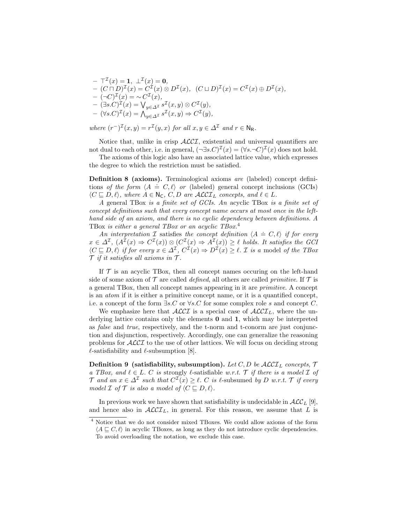$- \top^{\mathcal{I}}(x) = 1, \perp^{\mathcal{I}}(x) = 0,$  $-(C \sqcap D)^{\mathcal{I}}(x) = C^{\mathcal{I}}(x) \otimes D^{\mathcal{I}}(x), \ \ (C \sqcup D)^{\mathcal{I}}(x) = C^{\mathcal{I}}(x) \oplus D^{\mathcal{I}}(x),$  $-(-C)^{\mathcal{I}}(x) = \sim C^{\mathcal{I}}(x),$  $- (\exists s.C)^{\mathcal{I}}(x) = \bigvee_{y \in \Delta^{\mathcal{I}}} s^{\mathcal{I}}(x, y) \otimes C^{\mathcal{I}}(y),$  $- (\forall s.C)^{\mathcal{I}}(x) = \bigwedge_{y \in \Delta^{\mathcal{I}}} s^{\mathcal{I}}(x, y) \Rightarrow C^{\mathcal{I}}(y),$ 

where  $(r^{-})^{\mathcal{I}}(x,y) = r^{\mathcal{I}}(y,x)$  for all  $x, y \in \Delta^{\mathcal{I}}$  and  $r \in \mathsf{N}_{\mathsf{R}}$ .

Notice that, unlike in crisp  $\text{ALCI}$ , existential and universal quantifiers are not dual to each other, i.e. in general,  $(\neg \exists s.C)^{\mathcal{I}}(x) = (\forall s.\neg C)^{\mathcal{I}}(x)$  does not hold.

The axioms of this logic also have an associated lattice value, which expresses the degree to which the restriction must be satisfied.

Definition 8 (axioms). Terminological axioms are (labeled) concept defini-**Definition**  $\sigma$  (datoms). Terminological datoms are (diseased) concept definitions of the form  $\langle A \doteq C, \ell \rangle$  or (labeled) general concept inclusions (GCIs)  $\langle C \sqsubseteq D, \ell \rangle$ , where  $A \in N_{\mathsf{C}}, C, D$  are  $\mathcal{ALCI}_L$  concepts, and  $\ell \in L$ .

A general TBox is a finite set of GCIs. An acyclic TBox is a finite set of concept definitions such that every concept name occurs at most once in the lefthand side of an axiom, and there is no cyclic dependency between definitions. A TBox is either a general TBox or an acyclic TBox.<sup>4</sup>

An interpretation I satisfies the concept definition  $\langle A = C, \ell \rangle$  if for every  $x \in \Delta^{\mathcal{I}}$ ,  $(A^{\mathcal{I}}(x) \Rightarrow C^{\mathcal{I}}(x)) \otimes (C^{\mathcal{I}}(x) \Rightarrow A^{\mathcal{I}}(x)) \geq \ell$  holds. It satisfies the GCI  $\langle C \sqsubseteq D, \ell \rangle$  if for every  $x \in \Delta^{\mathcal{I}}, C^{\mathcal{I}}(x) \Rightarrow D^{\mathcal{I}}(x) \geq \ell$ . *I* is a model of the TBox  $\mathcal T$  if it satisfies all axioms in  $\mathcal T$ .

If  $\mathcal T$  is an acyclic TBox, then all concept names occuring on the left-hand side of some axiom of  $\mathcal T$  are called *defined*, all others are called *primitive*. If  $\mathcal T$  is a general TBox, then all concept names appearing in it are primitive. A concept is an atom if it is either a primitive concept name, or it is a quantified concept, i.e. a concept of the form  $\exists s.C$  or  $\forall s.C$  for some complex role s and concept C.

We emphasize here that  $\mathcal{ALCI}$  is a special case of  $\mathcal{ALCI}_L$ , where the underlying lattice contains only the elements 0 and 1, which may be interpreted as false and true, respectively, and the t-norm and t-conorm are just conjunction and disjunction, respectively. Accordingly, one can generalize the reasoning problems for  $\mathcal{ALCI}$  to the use of other lattices. We will focus on deciding strong  $\ell$ -satisfiability and  $\ell$ -subsumption [8].

**Definition 9** (satisfiability, subsumption). Let C, D be  $\mathcal{ALCI}_L$  concepts,  $\mathcal{T}$ a TBox, and  $\ell \in L$ . C is strongly  $\ell$ -satisfiable w.r.t. T if there is a model  $\mathcal I$  of  $\mathcal T$  and an  $x \in \Delta^{\mathcal I}$  such that  $C^{\mathcal I}(x) \geq \ell$ . C is  $\ell$ -subsumed by D w.r.t.  $\mathcal T$  if every model  $\mathcal I$  of  $\mathcal T$  is also a model of  $\langle C \sqsubseteq D, \ell \rangle$ .

In previous work we have shown that satisfiability is undecidable in  $\mathcal{ALC}_L$  [9], and hence also in  $\mathcal{ALCI}_L$ , in general. For this reason, we assume that L is

<sup>4</sup> Notice that we do not consider mixed TBoxes. We could allow axioms of the form  $\langle A \sqsubseteq C, \ell \rangle$  in acyclic TBoxes, as long as they do not introduce cyclic dependencies. To avoid overloading the notation, we exclude this case.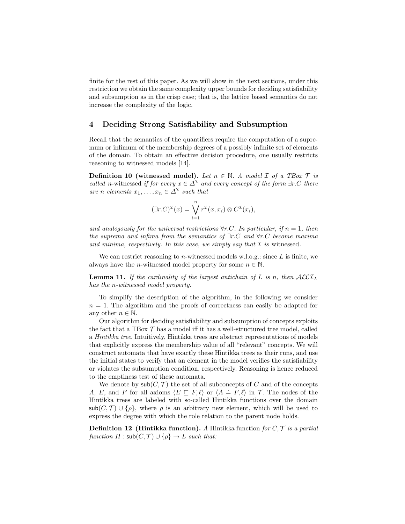finite for the rest of this paper. As we will show in the next sections, under this restriction we obtain the same complexity upper bounds for deciding satisfiability and subsumption as in the crisp case; that is, the lattice based semantics do not increase the complexity of the logic.

## 4 Deciding Strong Satisfiability and Subsumption

Recall that the semantics of the quantifiers require the computation of a supremum or infimum of the membership degrees of a possibly infinite set of elements of the domain. To obtain an effective decision procedure, one usually restricts reasoning to witnessed models [14].

**Definition 10 (witnessed model).** Let  $n \in \mathbb{N}$ . A model  $\mathcal{I}$  of a TBox  $\mathcal{T}$  is called n-witnessed if for every  $x \in \Delta^{\mathcal{I}}$  and every concept of the form  $\exists r.C$  there are n elements  $x_1, \ldots, x_n \in \Delta^{\mathcal{I}}$  such that

$$
(\exists r.C)^{\mathcal{I}}(x) = \bigvee_{i=1}^{n} r^{\mathcal{I}}(x, x_i) \otimes C^{\mathcal{I}}(x_i),
$$

and analogously for the universal restrictions  $\forall r.C.$  In particular, if  $n = 1$ , then the suprema and infima from the semantics of  $\exists r.C$  and  $\forall r.C$  become maxima and minima, respectively. In this case, we simply say that  $\mathcal I$  is witnessed.

We can restrict reasoning to *n*-witnessed models w.l.o.g.: since  $L$  is finite, we always have the *n*-witnessed model property for some  $n \in \mathbb{N}$ .

**Lemma 11.** If the cardinality of the largest antichain of L is n, then  $\mathcal{ALCI}_L$ has the n-witnessed model property.

To simplify the description of the algorithm, in the following we consider  $n = 1$ . The algorithm and the proofs of correctness can easily be adapted for any other  $n \in \mathbb{N}$ .

Our algorithm for deciding satisfiability and subsumption of concepts exploits the fact that a TBox  $\mathcal T$  has a model iff it has a well-structured tree model, called a Hintikka tree. Intuitively, Hintikka trees are abstract representations of models that explicitly express the membership value of all "relevant" concepts. We will construct automata that have exactly these Hintikka trees as their runs, and use the initial states to verify that an element in the model verifies the satisfiability or violates the subsumption condition, respectively. Reasoning is hence reduced to the emptiness test of these automata.

We denote by  $\mathsf{sub}(C, \mathcal{T})$  the set of all subconcepts of C and of the concepts A, E, and F for all axioms  $\langle E \sqsubseteq F, \ell \rangle$  or  $\langle A \doteq F, \ell \rangle$  in T. The nodes of the Hintikka trees are labeled with so-called Hintikka functions over the domain  $\mathsf{sub}(C, \mathcal{T}) \cup \{\rho\}$ , where  $\rho$  is an arbitrary new element, which will be used to express the degree with which the role relation to the parent node holds.

**Definition 12** (Hintikka function). A Hintikka function for  $C, \mathcal{T}$  is a partial function  $H : \mathsf{sub}(C, \mathcal{T}) \cup \{\rho\} \rightarrow L$  such that: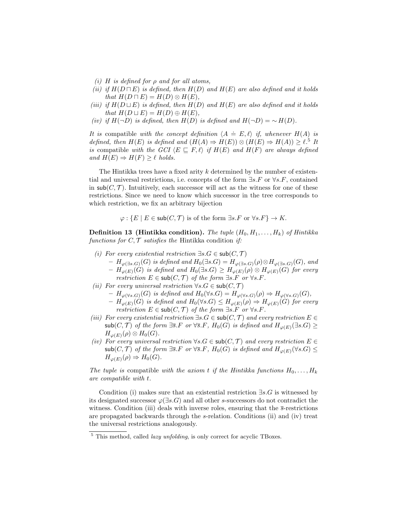- (i) H is defined for  $\rho$  and for all atoms,
- (ii) if  $H(D \sqcap E)$  is defined, then  $H(D)$  and  $H(E)$  are also defined and it holds that  $H(D \sqcap E) = H(D) \otimes H(E)$ ,
- (iii) if  $H(D \sqcup E)$  is defined, then  $H(D)$  and  $H(E)$  are also defined and it holds that  $H(D \sqcup E) = H(D) \oplus H(E)$ ,
- (iv) if  $H(\neg D)$  is defined, then  $H(D)$  is defined and  $H(\neg D) = \neg H(D)$ .

It is compatible with the concept definition  $\langle A \doteq E, \ell \rangle$  if, whenever  $H(A)$  is defined, then  $H(E)$  is defined and  $(H(A) \Rightarrow H(E)) \otimes (H(E) \Rightarrow H(A)) \geq \ell$ .<sup>5</sup> It is compatible with the GCI  $\langle E \sqsubseteq F, \ell \rangle$  if  $H(E)$  and  $H(F)$  are always defined and  $H(E) \Rightarrow H(F) \geq \ell$  holds.

The Hintikka trees have a fixed arity  $k$  determined by the number of existential and universal restrictions, i.e. concepts of the form  $\exists s.F$  or  $\forall s.F$ , contained in sub( $C, \mathcal{T}$ ). Intuitively, each successor will act as the witness for one of these restrictions. Since we need to know which successor in the tree corresponds to which restriction, we fix an arbitrary bijection

 $\varphi: \{E \mid E \in sub(C, \mathcal{T}) \text{ is of the form } \exists s. F \text{ or } \forall s. F\} \to K.$ 

**Definition 13 (Hintikka condition).** The tuple  $(H_0, H_1, \ldots, H_k)$  of Hintikka functions for  $C, \mathcal{T}$  satisfies the Hintikka condition if:

- (i) For every existential restriction  $\exists s.G \in sub(C, \mathcal{T})$ 
	- $H_{\varphi(\exists s.G)}(G)$  is defined and  $H_0(\exists s.G) = H_{\varphi(\exists s.G)}(\rho) \otimes H_{\varphi(\exists s.G)}(G)$ , and
	- $H_{\varphi(E)}(G)$  is defined and  $H_0(\exists s.G) \geq H_{\varphi(E)}(\rho) \otimes H_{\varphi(E)}(G)$  for every restriction  $E \in sub(C, \mathcal{T})$  of the form  $\exists s.F$  or  $\forall s.F$ .
- (ii) For every universal restriction  $\forall s. G \in sub(C, \mathcal{T})$ 
	- $H_{\varphi(\forall s,G)}(G)$  is defined and  $H_0(\forall s,G) = H_{\varphi(\forall s,G)}(\rho) \Rightarrow H_{\varphi(\forall s,G)}(G)$ ,
	- $H_{\varphi(E)}(G)$  is defined and  $H_0(\forall s. G) \leq H_{\varphi(E)}(\rho) \Rightarrow H_{\varphi(E)}(G)$  for every restriction  $E \in sub(C, \mathcal{T})$  of the form  $\exists s.F$  or  $\forall s.F$ .
- (iii) For every existential restriction  $\exists s.G \in sub(C,T)$  and every restriction  $E \in$  $\mathsf{sub}(C, \mathcal{T})$  of the form  $\exists \overline{s}. F$  or  $\forall \overline{s}. F$ ,  $H_0(G)$  is defined and  $H_{\varphi(E)}(\exists s.G) \geq$  $H_{\varphi(E)}(\rho) \otimes H_0(G).$
- (iv) For every universal restriction  $\forall s. G \in sub(C, \mathcal{T})$  and every restriction  $E \in$  $\mathsf{sub}(C, \mathcal{T})$  of the form  $\exists \overline{s}. F$  or  $\forall \overline{s}. F$ ,  $H_0(G)$  is defined and  $H_{\varphi(E)}(\forall s.G) \leq$  $H_{\varphi(E)}(\rho) \Rightarrow H_0(G)$ .

The tuple is compatible with the axiom t if the Hintikka functions  $H_0, \ldots, H_k$ are compatible with t.

Condition (i) makes sure that an existential restriction  $\exists s.G$  is witnessed by its designated successor  $\varphi(\exists s. G)$  and all other s-successors do not contradict the witness. Condition (iii) deals with inverse roles, ensuring that the  $\bar{s}$ -restrictions are propagated backwards through the s-relation. Conditions (ii) and (iv) treat the universal restrictions analogously.

 $5$  This method, called *lazy unfolding*, is only correct for acyclic TBoxes.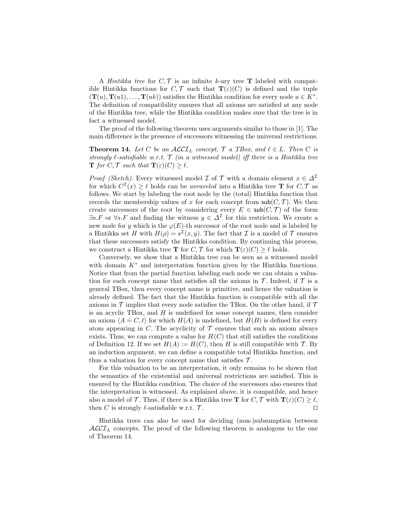A *Hintikka tree* for  $C, \mathcal{T}$  is an infinite k-ary tree **T** labeled with compatible Hintikka functions for  $C, \mathcal{T}$  such that  $\mathbf{T}(\varepsilon)(C)$  is defined and the tuple  $(T(u), T(u1), \ldots, T(uk))$  satisfies the Hintikka condition for every node  $u \in K^*$ . The definition of compatibility ensures that all axioms are satisfied at any node of the Hintikka tree, while the Hintikka condition makes sure that the tree is in fact a witnessed model.

The proof of the following theorem uses arguments similar to those in [1]. The main difference is the presence of successors witnessing the universal restrictions.

**Theorem 14.** Let C be an  $ALCI_L$  concept,  $\mathcal{T}$  a TBox, and  $\ell \in L$ . Then C is strongly  $\ell$ -satisfiable w.r.t.  $\mathcal T$  (in a witnessed model) iff there is a Hintikka tree **T** for C, T such that  $\mathbf{T}(\varepsilon)(C) > \ell$ .

*Proof (Sketch)*. Every witnessed model  $\mathcal I$  of  $\mathcal T$  with a domain element  $x \in \Delta^{\mathcal I}$ for which  $C^{T}(x) \geq \ell$  holds can be unraveled into a Hintikka tree **T** for  $C, \mathcal{T}$  as follows. We start by labeling the root node by the (total) Hintikka function that records the membership values of x for each concept from  $\mathsf{sub}(C, \mathcal{T})$ . We then create successors of the root by considering every  $E \in sub(C, \mathcal{T})$  of the form  $\exists s.F$  or  $\forall s.F$  and finding the witness  $y \in \Delta^{\mathcal{I}}$  for this restriction. We create a new node for y which is the  $\varphi(E)$ -th successor of the root node and is labeled by a Hintikka set H with  $H(\rho) = s^{\mathcal{I}}(x, y)$ . The fact that  $\mathcal I$  is a model of  $\mathcal T$  ensures that these successors satisfy the Hintikka condition. By continuing this process, we construct a Hintikka tree **T** for  $C, \mathcal{T}$  for which  $\mathbf{T}(\varepsilon)(C) > \ell$  holds.

Conversely, we show that a Hintikka tree can be seen as a witnessed model with domain  $K^*$  and interpretation function given by the Hintikka functions. Notice that from the partial function labeling each node we can obtain a valuation for each concept name that satisfies all the axioms in  $\mathcal T$ . Indeed, if  $\mathcal T$  is a general TBox, then every concept name is primitive, and hence the valuation is already defined. The fact that the Hintikka function is compatible with all the axioms in  $\mathcal T$  implies that every node satisfies the TBox. On the other hand, if  $\mathcal T$ is an acyclic TBox, and  $H$  is undefined for some concept names, then consider an axiom  $\langle A \doteq C, \ell \rangle$  for which  $H(A)$  is undefined, but  $H(B)$  is defined for every atom appearing in C. The acyclicity of  $\mathcal T$  ensures that such an axiom always exists. Thus, we can compute a value for  $H(C)$  that still satisfies the conditions of Definition 12. If we set  $H(A) := H(C)$ , then H is still compatible with  $\mathcal{T}$ . By an induction argument, we can define a compatible total Hintikka function, and thus a valuation for every concept name that satisfies  $\mathcal{T}$ .

For this valuation to be an interpretation, it only remains to be shown that the semantics of the existential and universal restrictions are satisfied. This is ensured by the Hintikka condition. The choice of the successors also ensures that the interpretation is witnessed. As explained above, it is compatible, and hence also a model of T. Thus, if there is a Hintikka tree **T** for  $C, \mathcal{T}$  with  $\mathbf{T}(\varepsilon)(C) \geq \ell$ , then C is strongly  $\ell$ -satisfiable w.r.t.  $\mathcal{T}$ .

Hintikka trees can also be used for deciding (non-)subsumption between  $\mathcal{ALCI}_L$  concepts. The proof of the following theorem is analogous to the one of Theorem 14.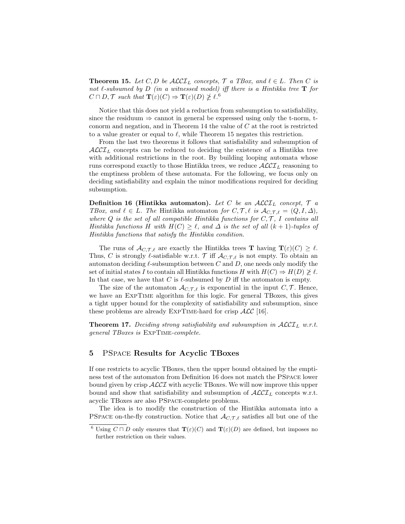**Theorem 15.** Let C, D be  $\mathcal{ALCI}_L$  concepts,  $\mathcal{T}$  a TBox, and  $\ell \in L$ . Then C is not  $\ell$ -subsumed by D (in a witnessed model) iff there is a Hintikka tree **T** for  $C \sqcap D, \mathcal{T}$  such that  $\mathbf{T}(\varepsilon)(C) \Rightarrow \mathbf{T}(\varepsilon)(D) \ngeq \ell$ .

Notice that this does not yield a reduction from subsumption to satisfiability, since the residuum  $\Rightarrow$  cannot in general be expressed using only the t-norm, tconorm and negation, and in Theorem 14 the value of  $C$  at the root is restricted to a value greater or equal to  $\ell$ , while Theorem 15 negates this restriction.

From the last two theorems it follows that satisfiability and subsumption of  $\mathcal{ALCI}_L$  concepts can be reduced to deciding the existence of a Hintikka tree with additional restrictions in the root. By building looping automata whose runs correspond exactly to those Hintikka trees, we reduce  $\mathcal{ALCI}_L$  reasoning to the emptiness problem of these automata. For the following, we focus only on deciding satisfiability and explain the minor modifications required for deciding subsumption.

Definition 16 (Hintikka automaton). Let C be an  $\mathcal{ALCI}_L$  concept,  $\mathcal T$  a TBox, and  $\ell \in L$ . The Hintikka automaton for  $C, \mathcal{T}, \ell$  is  $\mathcal{A}_{C, \mathcal{T}, \ell} = (Q, I, \Delta),$ where  $Q$  is the set of all compatible Hintikka functions for  $C, \mathcal{T}, I$  contains all Hintikka functions H with  $H(C) \geq \ell$ , and  $\Delta$  is the set of all  $(k + 1)$ -tuples of Hintikka functions that satisfy the Hintikka condition.

The runs of  $\mathcal{A}_{C,\mathcal{T},\ell}$  are exactly the Hintikka trees **T** having  $\mathbf{T}(\varepsilon)(C) \geq \ell$ . Thus, C is strongly  $\ell$ -satisfiable w.r.t. T iff  $\mathcal{A}_{C,T,\ell}$  is not empty. To obtain an automaton deciding  $\ell$ -subsumption between C and D, one needs only modify the set of initial states I to contain all Hintikka functions H with  $H(C) \Rightarrow H(D) \not\geq \ell$ . In that case, we have that C is  $\ell$ -subsumed by D iff the automaton is empty.

The size of the automaton  $\mathcal{A}_{C,\mathcal{T},\ell}$  is exponential in the input  $C,\mathcal{T}$ . Hence, we have an ExpTime algorithm for this logic. For general TBoxes, this gives a tight upper bound for the complexity of satisfiability and subsumption, since these problems are already EXPTIME-hard for crisp  $\text{ALC}$  [16].

Theorem 17. Deciding strong satisfiability and subsumption in  $\mathcal{ALCI}_L$  w.r.t. general TBoxes is ExpTime-complete.

### 5 PSpace Results for Acyclic TBoxes

If one restricts to acyclic TBoxes, then the upper bound obtained by the emptiness test of the automaton from Definition 16 does not match the PSpace lower bound given by crisp ALCI with acyclic TBoxes. We will now improve this upper bound and show that satisfiability and subsumption of  $\mathcal{ALCI}_L$  concepts w.r.t. acyclic TBoxes are also PSpace-complete problems.

The idea is to modify the construction of the Hintikka automata into a PSPACE on-the-fly construction. Notice that  $\mathcal{A}_{C,\mathcal{T},\ell}$  satisfies all but one of the

<sup>&</sup>lt;sup>6</sup> Using  $C \sqcap D$  only ensures that  $\mathbf{T}(\varepsilon)(C)$  and  $\mathbf{T}(\varepsilon)(D)$  are defined, but imposes no further restriction on their values.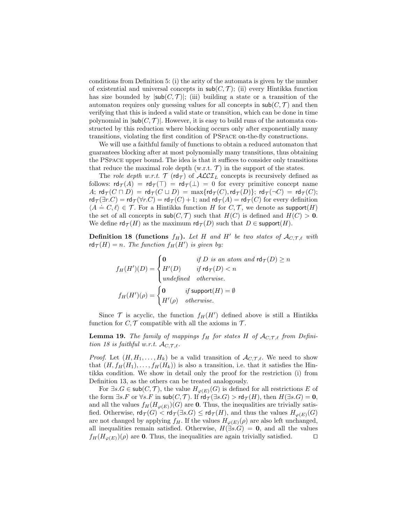conditions from Definition 5: (i) the arity of the automata is given by the number of existential and universal concepts in  $\mathsf{sub}(C, \mathcal{T})$ ; (ii) every Hintikka function has size bounded by  $|\textsf{sub}(C, \mathcal{T})|$ ; (iii) building a state or a transition of the automaton requires only guessing values for all concepts in  $\mathsf{sub}(C, \mathcal{T})$  and then verifying that this is indeed a valid state or transition, which can be done in time polynomial in  $|\mathsf{sub}(C, \mathcal{T})|$ . However, it is easy to build runs of the automata constructed by this reduction where blocking occurs only after exponentially many transitions, violating the first condition of PSpace on-the-fly constructions.

We will use a faithful family of functions to obtain a reduced automaton that guarantees blocking after at most polynomially many transitions, thus obtaining the PSpace upper bound. The idea is that it suffices to consider only transitions that reduce the maximal role depth (w.r.t.  $\mathcal{T}$ ) in the support of the states.

The role depth w.r.t.  $\mathcal{T}$  (rd $\tau$ ) of  $\mathcal{ALCI}_L$  concepts is recursively defined as follows:  $\mathsf{rd}_{\mathcal{T}}(A) = \mathsf{rd}_{\mathcal{T}}(\top) = \mathsf{rd}_{\mathcal{T}}(\bot) = 0$  for every primitive concept name A;  $\operatorname{\sf rd}_{\mathcal{T}}(C \sqcap D) = \operatorname{\sf rd}_{\mathcal{T}}(C \sqcup D) = \max \{ \operatorname{\sf rd}_{\mathcal{T}}(C), \operatorname{\sf rd}_{\mathcal{T}}(D) \};$   $\operatorname{\sf rd}_{\mathcal{T}}(\neg C) = \operatorname{\sf rd}_{\mathcal{T}}(C);$  $\mathsf{rd}_{\mathcal{T}}(\exists r.C) = \mathsf{rd}_{\mathcal{T}}(\forall r.C) = \mathsf{rd}_{\mathcal{T}}(C) + 1$ ; and  $\mathsf{rd}_{\mathcal{T}}(A) = \mathsf{rd}_{\mathcal{T}}(C)$  for every definition  $\langle A \doteq C, \ell \rangle \in \mathcal{T}$ . For a Hintikka function H for  $C, \mathcal{T}$ , we denote as support $(H)$ the set of all concepts in  $\mathsf{sub}(C, \mathcal{T})$  such that  $H(C)$  is defined and  $H(C) > 0$ . We define  $\mathsf{rd}_{\mathcal{T}}(H)$  as the maximum  $\mathsf{rd}_{\mathcal{T}}(D)$  such that  $D \in \mathsf{support}(H)$ .

**Definition 18 (functions**  $f_H$ ). Let H and H' be two states of  $\mathcal{A}_{C,\mathcal{T},\ell}$  with  $\mathsf{rd}_{\mathcal{T}}(H) = n$ . The function  $f_H(H')$  is given by:

$$
f_H(H')(D) = \begin{cases} \n0 & \text{if } D \text{ is an atom and } \mathsf{rd}_{\mathcal{T}}(D) \ge n \\ \nH'(D) & \text{if } \mathsf{rd}_{\mathcal{T}}(D) < n \\ \nunderline{\end{cases}
$$
\n
$$
f_H(H')(\rho) = \begin{cases} \n0 & \text{if } \mathsf{support}(H) = \emptyset \\ \nH'(\rho) & \text{otherwise.} \n\end{cases}
$$

Since  $\mathcal T$  is acyclic, the function  $f_H(H')$  defined above is still a Hintikka function for  $C, \mathcal{T}$  compatible with all the axioms in  $\mathcal{T}$ .

**Lemma 19.** The family of mappings  $f_H$  for states H of  $\mathcal{A}_{C,\mathcal{T},\ell}$  from Definition 18 is faithful w.r.t.  $\mathcal{A}_{C,\mathcal{T},\ell}$ .

*Proof.* Let  $(H, H_1, \ldots, H_k)$  be a valid transition of  $\mathcal{A}_{C,T,\ell}$ . We need to show that  $(H, f_H(H_1), \ldots, f_H(H_k))$  is also a transition, i.e. that it satisfies the Hintikka condition. We show in detail only the proof for the restriction (i) from Definition 13, as the others can be treated analogously.

For  $\exists s. G \in sub(C, \mathcal{T})$ , the value  $H_{\varphi(E)}(G)$  is defined for all restrictions E of the form  $\exists s.F$  or  $\forall s.F$  in  $sub(C, \mathcal{T})$ . If  $rd_{\mathcal{T}}(\exists s.G) > rd_{\mathcal{T}}(H)$ , then  $H(\exists s.G) = 0$ , and all the values  $f_H(H_{\varphi(E)})(G)$  are 0. Thus, the inequalities are trivially satisfied. Otherwise,  $\mathsf{rd}_{\mathcal{T}}(G) < \mathsf{rd}_{\mathcal{T}}(\exists s. G) \leq \mathsf{rd}_{\mathcal{T}}(H)$ , and thus the values  $H_{\varphi(E)}(G)$ are not changed by applying  $f_H$ . If the values  $H_{\varphi(E)}(\rho)$  are also left unchanged, all inequalities remain satisfied. Otherwise,  $H(\exists s.G) = 0$ , and all the values  $f_H(H_{\varphi(E)})(\rho)$  are 0. Thus, the inequalities are again trivially satisfied.  $\square$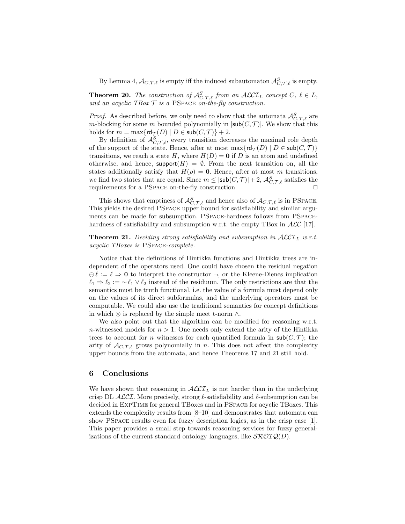By Lemma 4,  $\mathcal{A}_{C,\mathcal{T},\ell}$  is empty iff the induced subautomaton  $\mathcal{A}_{C,\mathcal{T},\ell}^S$  is empty.

**Theorem 20.** The construction of  $\mathcal{A}_{C,\mathcal{T},\ell}^S$  from an  $\mathcal{ALCI}_L$  concept  $C, \ell \in L$ , and an acyclic TBox  $\mathcal T$  is a PSPACE on-the-fly construction.

*Proof.* As described before, we only need to show that the automata  $\mathcal{A}_{C,\mathcal{T},\ell}^S$  are m-blocking for some m bounded polynomially in  $|\mathsf{sub}(C, \mathcal{T})|$ . We show that this holds for  $m = \max\{rd_{\mathcal{T}}(D) \mid D \in \mathsf{sub}(C, \mathcal{T})\} + 2$ .

By definition of  $\mathcal{A}_{C,\mathcal{T},\ell}^S$ , every transition decreases the maximal role depth of the support of the state. Hence, after at most  $\max\{\text{rd}_{\mathcal{T}}(D) \mid D \in \text{sub}(C, \mathcal{T})\}$ transitions, we reach a state H, where  $H(D) = 0$  if D is an atom and undefined otherwise, and hence, support $(H) = \emptyset$ . From the next transition on, all the states additionally satisfy that  $H(\rho) = 0$ . Hence, after at most m transitions, we find two states that are equal. Since  $m \le |\textsf{sub}(C, \mathcal{T})| + 2$ ,  $\mathcal{A}_{C, \mathcal{T}, \ell}^S$  satisfies the requirements for a PSPACE on-the-fly construction.  $\Box$ 

This shows that emptiness of  $\mathcal{A}_{C,\mathcal{T},\ell}^S$  and hence also of  $\mathcal{A}_{C,\mathcal{T},\ell}$  is in PSPACE. This yields the desired PSpace upper bound for satisfiability and similar arguments can be made for subsumption. PSpace-hardness follows from PSpacehardness of satisfiability and subsumption w.r.t. the empty TBox in  $ALC$  [17].

**Theorem 21.** Deciding strong satisfiability and subsumption in  $\mathcal{ALCI}_L$  w.r.t. acyclic TBoxes is PSpace-complete.

Notice that the definitions of Hintikka functions and Hintikka trees are independent of the operators used. One could have chosen the residual negation  $\Theta \ell := \ell \Rightarrow 0$  to interpret the constructor  $\neg$ , or the Kleene-Dienes implication  $\ell_1 \Rightarrow \ell_2 := \ell_1 \vee \ell_2$  instead of the residuum. The only restrictions are that the semantics must be truth functional, i.e. the value of a formula must depend only on the values of its direct subformulas, and the underlying operators must be computable. We could also use the traditional semantics for concept definitions in which  $\otimes$  is replaced by the simple meet t-norm  $\wedge$ .

We also point out that the algorithm can be modified for reasoning w.r.t. n-witnessed models for  $n > 1$ . One needs only extend the arity of the Hintikka trees to account for *n* witnesses for each quantified formula in  $\mathsf{sub}(C, \mathcal{T})$ ; the arity of  $\mathcal{A}_{C,\mathcal{T},\ell}$  grows polynomially in n. This does not affect the complexity upper bounds from the automata, and hence Theorems 17 and 21 still hold.

#### 6 Conclusions

We have shown that reasoning in  $\mathcal{ALCI}_L$  is not harder than in the underlying crisp DL  $ALCL$ . More precisely, strong  $\ell$ -satisfiability and  $\ell$ -subsumption can be decided in ExpTime for general TBoxes and in PSpace for acyclic TBoxes. This extends the complexity results from [8–10] and demonstrates that automata can show PSpace results even for fuzzy description logics, as in the crisp case [1]. This paper provides a small step towards reasoning services for fuzzy generalizations of the current standard ontology languages, like  $\mathcal{SROIQ}(D)$ .